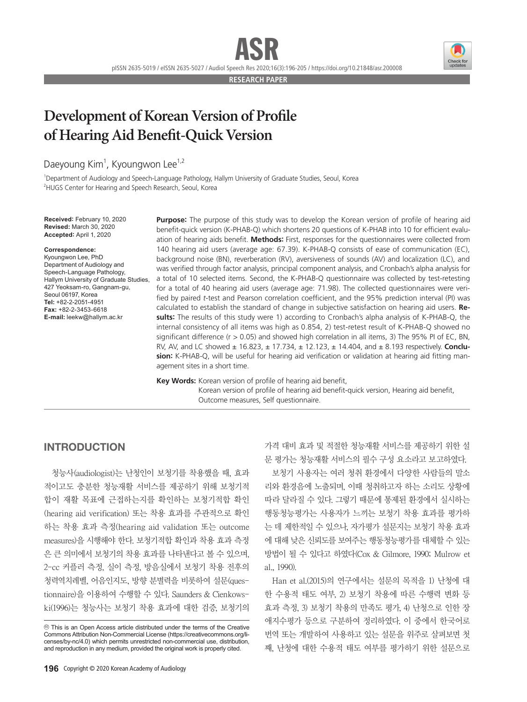pISSN 2635-5019 / eISSN 2635-5027 / Audiol Speech Res 2020;16(3):196-205 / https://doi.org/10.21848/asr.200008

**RESEARCH PAPER**

## **Development of Korean Version of Profile of Hearing Aid Benefit-Quick Version**

### Daeyoung Kim<sup>1</sup>, Kyoungwon Lee<sup>1,2</sup>

1 Department of Audiology and Speech-Language Pathology, Hallym University of Graduate Studies, Seoul, Korea <sup>2</sup>HUGS Center for Hearing and Speech Research, Seoul, Korea

**Received:** February 10, 2020 **Revised:** March 30, 2020 **Accepted:** April 1, 2020

#### **Correspondence:**

Kyoungwon Lee, PhD Department of Audiology and Speech-Language Pathology, Hallym University of Graduate Studies, 427 Yeoksam-ro, Gangnam-gu, Seoul 06197, Korea **Tel:** +82-2-2051-4951 **Fax:** +82-2-3453-6618 **E-mail:** leekw@hallym.ac.kr

**Purpose:** The purpose of this study was to develop the Korean version of profile of hearing aid benefit-quick version (K-PHAB-Q) which shortens 20 questions of K-PHAB into 10 for efficient evaluation of hearing aids benefit. **Methods:** First, responses for the questionnaires were collected from 140 hearing aid users (average age: 67.39). K-PHAB-Q consists of ease of communication (EC), background noise (BN), reverberation (RV), aversiveness of sounds (AV) and localization (LC), and was verified through factor analysis, principal component analysis, and Cronbach's alpha analysis for a total of 10 selected items. Second, the K-PHAB-Q questionnaire was collected by test-retesting for a total of 40 hearing aid users (average age: 71.98). The collected questionnaires were verified by paired *t-*test and Pearson correlation coefficient, and the 95% prediction interval (PI) was calculated to establish the standard of change in subjective satisfaction on hearing aid users. **Results:** The results of this study were 1) according to Cronbach's alpha analysis of K-PHAB-Q, the internal consistency of all items was high as 0.854, 2) test-retest result of K-PHAB-Q showed no significant difference ( $r > 0.05$ ) and showed high correlation in all items, 3) The 95% PI of EC, BN, RV, AV, and LC showed ± 16.823, ± 17.734, ± 12.123, ± 14.404, and ± 8.193 respectively. **Conclusion:** K-PHAB-Q, will be useful for hearing aid verification or validation at hearing aid fitting management sites in a short time.

**Key Words:** Korean version of profile of hearing aid benefit,

Korean version of profile of hearing aid benefit-quick version, Hearing aid benefit, Outcome measures, Self questionnaire.

#### INTRODUCTION

청능사(audiologist)는 난청인이 보청기를 착용했을 때, 효과 적이고도 충분한 청능재활 서비스를 제공하기 위해 보청기적 합이 재활 목표에 근접하는지를 확인하는 보청기적합 확인 (hearing aid verification) 또는 착용 효과를 주관적으로 확인 하는 착용 효과 측정(hearing aid validation 또는 outcome measures)을 시행해야 한다. 보청기적합 확인과 착용 효과 측정 은 큰 의미에서 보청기의 착용 효과를 나타낸다고 볼 수 있으며, 2-cc 커플러 측정, 실이 측정, 방음실에서 보청기 착용 전후의 청력역치레벨, 어음인지도, 방향 분별력을 비롯하여 설문(questionnaire)을 이용하여 수행할 수 있다. Saunders & Cienkowski(1996)는 청능사는 보청기 착용 효과에 대한 검증, 보청기의

가격 대비 효과 및 적절한 청능재활 서비스를 제공하기 위한 설 문 평가는 청능재활 서비스의 필수 구성 요소라고 보고하였다.

보청기 사용자는 여러 청취 환경에서 다양한 사람들의 말소 리와 환경음에 노출되며, 이때 청취하고자 하는 소리도 상황에 따라 달라질 수 있다. 그렇기 때문에 통제된 환경에서 실시하는 행동청능평가는 사용자가 느끼는 보청기 착용 효과를 평가하 는 데 제한적일 수 있으나, 자가평가 설문지는 보청기 착용 효과 에 대해 낮은 신뢰도를 보여주는 행동청능평가를 대체할 수 있는 방법이 될 수 있다고 하였다(Cox & Gilmore, 1990; Mulrow et al., 1990).

Han et al.(2015)의 연구에서는 설문의 목적을 1) 난청에 대 한 수용적 태도 여부, 2) 보청기 착용에 따른 수행력 변화 등 효과 측정, 3) 보청기 착용의 만족도 평가, 4) 난청으로 인한 장 애지수평가 등으로 구분하여 정리하였다. 이 중에서 한국어로 번역 또는 개발하여 사용하고 있는 설문을 위주로 살펴보면 첫 째, 난청에 대한 수용적 태도 여부를 평가하기 위한 설문으로



cc This is an Open Access article distributed under the terms of the Creative Commons Attribution Non-Commercial License (https://creativecommons.org/licenses/by-nc/4.0) which permits unrestricted non-commercial use, distribution, and reproduction in any medium, provided the original work is properly cited.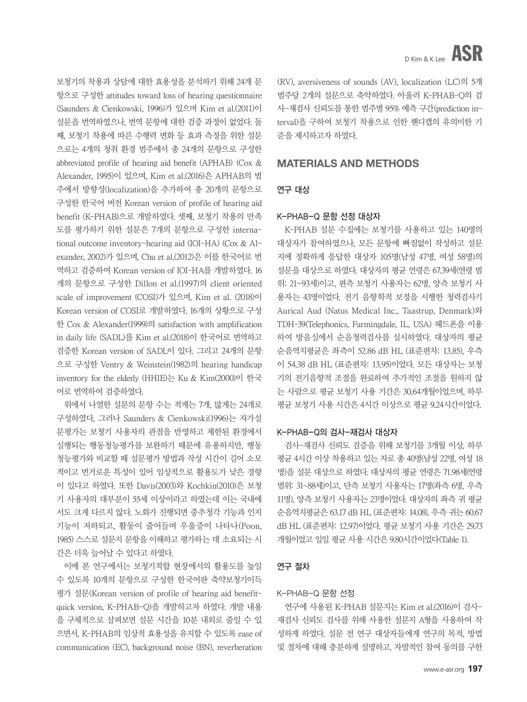보청기의 착용과 상담에 대한 효용성을 분석하기 위해 24개 문 항으로 구성한 attitudes toward loss of hearing questionnaire (Saunders & Cienkowski, 1996)가 있으며 Kim et al.(2011)이 설문을 번역하였으나, 번역 문항에 대한 검증 과정이 없었다. 둘 째, 보청기 착용에 따른 수행력 변화 등 효과 측정을 위한 설문 으로는 4개의 청취 환경 범주에서 총 24개의 문항으로 구성한 abbreviated profile of hearing aid benefit (APHAB) (Cox & Alexander, 1995)이 있으며, Kim et al.(2016)은 APHAB의 범 주에서 방향성(localization)을 추가하여 총 20개의 문항으로 구성한 한국어 버전 Korean version of profile of hearing aid benefit (K-PHAB)으로 개발하였다. 셋째, 보청기 착용의 만족 도를 평가하기 위한 설문은 7개의 문항으로 구성한 international outcome inventory-hearing aid (IOI-HA) (Cox & Alexander, 2002)가 있으며, Chu et al.(2012)은 이를 한국어로 번 역하고 검증하여 Korean version of IOI-HA를 개발하였다. 16 개의 문항으로 구성한 Dillon et al.(1997)의 client oriented scale of improvement (COSI)가 있으며, Kim et al. (2018)이 Korean version of COSI로 개발하였다. 16개의 상황으로 구성 한 Cox & Alexander(1999)의 satisfaction with amplification in daily life (SADL)를 Kim et al.(2018)이 한국어로 번역하고 검증한 Korean version of SADL이 있다. 그리고 24개의 문항 으로 구성한 Ventry & Weinstein(1982)의 hearing handicap inventory for the elderly (HHIE)는 Ku & Kim(2000)이 한국 어로 번역하여 검증하였다.

위에서 나열한 설문의 문항 수는 적게는 7개, 많게는 24개로 구성하였다, 그러나 Saunders & Cienkowski(1996)는 자가설 문평가는 보청기 사용자의 관점을 반영하고 제한된 환경에서 실행되는 행동청능평가를 보완하기 때문에 유용하지만, 행동 청능평가와 비교할 때 설문평가 방법과 작성 시간이 길어 소모 적이고 번거로운 특성이 있어 임상적으로 활용도가 낮은 경향 이 있다고 하였다. 또한 Davis(2003)와 Kochkin(2010)은 보청 기 사용자의 대부분이 55세 이상이라고 하였는데 이는 국내에 서도 크게 다르지 않다. 노화가 진행되면 중추청각 기능과 인지 기능이 저하되고, 활동이 줄어들며 우울증이 나타나(Poon, 1985) 스스로 설문지 문항을 이해하고 평가하는 데 소요되는 시 간은 더욱 늘어날 수 있다고 하였다.

이에 본 연구에서는 보청기적합 현장에서의 활용도를 높일 수 있도록 10개의 문항으로 구성한 한국어판 축약보청기이득 평가 설문(Korean version of profile of hearing aid benefitquick version, K-PHAB-Q)을 개발하고자 하였다. 개발 내용 을 구체적으로 살펴보면 설문 시간을 10분 내외로 줄일 수 있 으면서, K-PHAB의 임상적 효용성을 유지할 수 있도록 ease of communication (EC), background noise (BN), reverberation (RV), aversiveness of sounds (AV), localization (LC)의 5개 범주당 2개의 설문으로 축약하였다. 아울러 K-PHAB-Q의 검 사-재검사 신뢰도를 통한 범주별 95% 예측 구간(prediction interval)을 구하여 보청기 착용으로 인한 핸디캡의 유의미한 기 준을 제시하고자 하였다.

#### MATERIALS AND METHODS

#### 연구 대상

#### K-PHAB-Q 문항 선정 대상자

K-PHAB 설문 수집에는 보청기를 사용하고 있는 140명의 대상자가 참여하였으나, 모든 문항에 빠짐없이 작성하고 설문 지에 정확하게 응답한 대상자 105명(남성 47명, 여성 58명)의 설문을 대상으로 하였다. 대상자의 평균 연령은 67.39세(연령 범 위: 21~93세)이고, 편측 보청기 사용자는 62명, 양측 보청기 사 용자는 43명이었다. 전기 음향학적 보정을 시행한 청력검사기 Aurical Aud (Natus Medical Inc., Taastrup, Denmark)와 TDH-39(Telephonics, Farmingdale, IL, USA) 헤드폰을 이용 하여 방음실에서 순음청력검사를 실시하였다. 대상자의 평균 순음역치평균은 좌측이 52.86 dB HL (표준편차: 13.85), 우측 이 54.38 dB HL (표준편차: 13.95)이었다. 모든 대상자는 보청 기의 전기음향적 조절을 완료하여 추가적인 조절을 원하지 않 는 사람으로 평균 보청기 사용 기간은 30.64개월이었으며, 하루 평균 보청기 사용 시간은 4시간 이상으로 평균 9.24시간이었다.

#### K-PHAB-Q의 검사-재검사 대상자

검사-재검사 신뢰도 검증을 위해 보청기를 3개월 이상, 하루 평균 4시간 이상 착용하고 있는 자로 총 40명(남성 22명, 여성 18 명)을 설문 대상으로 하였다. 대상자의 평균 연령은 71.98세(연령 범위: 31~88세)이고, 단측 보청기 사용자는 17명(좌측 6명, 우측 11명), 양측 보청기 사용자는 23명이었다. 대상자의 좌측 귀 평균 순음역치평균은 63.17 dB HL (표준편차: 14.08), 우측 귀는 60.67 dB HL (표준편차: 12.97)이었다. 평균 보청기 사용 기간은 29.73 개월이었고 일일 평균 사용 시간은 9.80시간이었다(Table 1).

#### 연구 절차

#### K-PHAB-Q 문항 선정

연구에 사용된 K-PHAB 설문지는 Kim et al.(2016)이 검사-재검사 신뢰도 검사를 위해 사용한 설문지 A형을 사용하여 작 성하게 하였다. 설문 전 연구 대상자들에게 연구의 목적, 방법 및 절차에 대해 충분하게 설명하고, 자발적인 참여 동의를 구한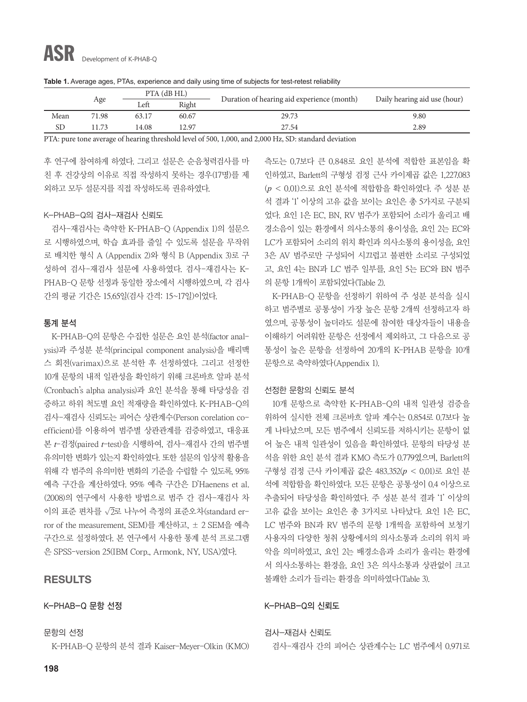|      |       | PTA (dB HL) |       |                                            |                              |  |
|------|-------|-------------|-------|--------------------------------------------|------------------------------|--|
|      | Age   | Left        | Right | Duration of hearing aid experience (month) | Daily hearing aid use (hour) |  |
| Mean | 71.98 | 63.17       | 60.67 | 29.73                                      | 9.80                         |  |
| SD   | 1.73  | 14.08       | 12.97 | 27.54                                      | 2.89                         |  |

**Table 1.** Average ages, PTAs, experience and daily using time of subjects for test-retest reliability

PTA: pure tone average of hearing threshold level of 500, 1,000, and 2,000 Hz, SD: standard deviation

후 연구에 참여하게 하였다. 그리고 설문은 순음청력검사를 마 친 후 건강상의 이유로 직접 작성하지 못하는 경우(17명)를 제 외하고 모두 설문지를 직접 작성하도록 권유하였다.

#### K-PHAB-Q의 검사-재검사 신뢰도

검사-재검사는 축약한 K-PHAB-Q (Appendix 1)의 설문으 로 시행하였으며, 학습 효과를 줄일 수 있도록 설문을 무작위 로 배치한 형식 A (Appendix 2)와 형식 B (Appendix 3)로 구 성하여 검사-재검사 설문에 사용하였다. 검사-재검사는 K-PHAB-Q 문항 선정과 동일한 장소에서 시행하였으며, 각 검사 간의 평균 기간은 15.65일(검사 간격: 15~17일)이었다.

#### 통계 분석

K-PHAB-Q의 문항은 수집한 설문은 요인 분석(factor analysis)과 주성분 분석(principal component analysis)을 배리맥 스 회전(varimax)으로 분석한 후 선정하였다. 그리고 선정한 10개 문항의 내적 일관성을 확인하기 위해 크론바흐 알파 분석 (Cronbach's alpha analysis)과 요인 분석을 통해 타당성을 검 증하고 하위 척도별 요인 적재량을 확인하였다. K-PHAB-Q의 검사-재검사 신뢰도는 피어슨 상관계수(Person corelation coefficient)를 이용하여 범주별 상관관계를 검증하였고, 대응표 본 *t*-검정(paired *t*-test)을 시행하여, 검사-재검사 간의 범주별 유의미한 변화가 있는지 확인하였다. 또한 설문의 임상적 활용을 위해 각 범주의 유의미한 변화의 기준을 수립할 수 있도록, 95% 예측 구간을 계산하였다. 95% 예측 구간은 D'Haenens et al. (2008)의 연구에서 사용한 방법으로 범주 간 검사-재검사 차 이의 표준 편차를 √2로 나누어 측정의 표준오차(standard error of the measurement, SEM)를 계산하고, ± 2 SEM을 예측 구간으로 설정하였다. 본 연구에서 사용한 통계 분석 프로그램 은 SPSS-version 25(IBM Corp., Armonk, NY, USA)였다.

#### RESULTS

#### K-PHAB-Q 문항 선정

문항의 선정

K-PHAB-Q 문항의 분석 결과 Kaiser-Meyer-Olkin (KMO)

측도는 0.7보다 큰 0.848로 요인 분석에 적합한 표본임을 확 인하였고, Barlett의 구형성 검정 근사 카이제곱 값은 1,227.083 (*p* < 0.01)으로 요인 분석에 적합함을 확인하였다. 주 성분 분 석 결과 '1' 이상의 고유 값을 보이는 요인은 총 5가지로 구분되 었다. 요인 1은 EC, BN, RV 범주가 포함되어 소리가 울리고 배 경소음이 있는 환경에서 의사소통의 용이성을, 요인 2는 EC와 LC가 포함되어 소리의 위치 확인과 의사소통의 용이성을, 요인 3은 AV 범주로만 구성되어 시끄럽고 불편한 소리로 구성되었 고, 요인 4는 BN과 LC 범주 일부를, 요인 5는 EC와 BN 범주 의 문항 1개씩이 포함되었다(Table 2).

K-PHAB-Q 문항을 선정하기 위하여 주 성분 분석을 실시 하고 범주별로 공통성이 가장 높은 문항 2개씩 선정하고자 하 였으며, 공통성이 높더라도 설문에 참여한 대상자들이 내용을 이해하기 어려워한 문항은 선정에서 제외하고, 그 다음으로 공 통성이 높은 문항을 선정하여 20개의 K-PHAB 문항을 10개 문항으로 축약하였다(Appendix 1).

#### 선정한 문항의 신뢰도 분석

10개 문항으로 축약한 K-PHAB-Q의 내적 일관성 검증을 위하여 실시한 전체 크론바흐 알파 계수는 0.854로 0.7보다 높 게 나타났으며, 모든 범주에서 신뢰도를 저하시키는 문항이 없 어 높은 내적 일관성이 있음을 확인하였다. 문항의 타당성 분 석을 위한 요인 분석 결과 KMO 측도가 0.779였으며, Barlett의 구형성 검정 근사 카이제곱 값은 483.352(*p* < 0.01)로 요인 분 석에 적합함을 확인하였다. 모든 문항은 공통성이 0.4 이상으로 추출되어 타당성을 확인하였다. 주 성분 분석 결과 '1' 이상의 고유 값을 보이는 요인은 총 3가지로 나타났다. 요인 1은 EC, LC 범주와 BN과 RV 범주의 문항 1개씩을 포함하여 보청기 사용자의 다양한 청취 상황에서의 의사소통과 소리의 위치 파 악을 의미하였고, 요인 2는 배경소음과 소리가 울리는 환경에 서 의사소통하는 환경을, 요인 3은 의사소통과 상관없이 크고 불쾌한 소리가 들리는 환경을 의미하였다(Table 3).

#### K-PHAB-Q의 신뢰도

검사-재검사 신뢰도

검사-재검사 간의 피어슨 상관계수는 LC 범주에서 0.971로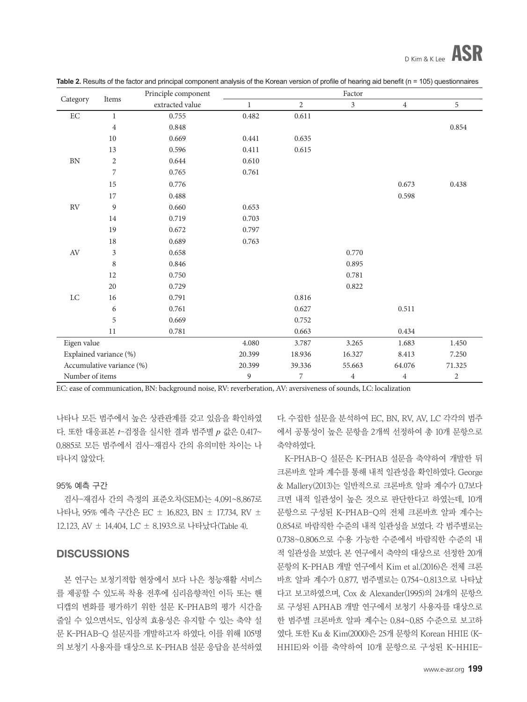|                        |                           | Principle component |              |                | Factor         |                |                |
|------------------------|---------------------------|---------------------|--------------|----------------|----------------|----------------|----------------|
| Category               | Items                     | extracted value     | $\mathbf{1}$ | $\overline{c}$ | $\overline{3}$ | $\overline{4}$ | 5              |
| $\operatorname{EC}$    | $\mathbf{1}$              | 0.755               | 0.482        | 0.611          |                |                |                |
|                        | $\overline{4}$            | 0.848               |              |                |                |                | 0.854          |
|                        | 10                        | 0.669               | 0.441        | 0.635          |                |                |                |
|                        | 13                        | 0.596               | 0.411        | 0.615          |                |                |                |
| ${\rm BN}$             | $\overline{c}$            | 0.644               | 0.610        |                |                |                |                |
|                        | $\overline{7}$            | 0.765               | 0.761        |                |                |                |                |
|                        | 15                        | 0.776               |              |                |                | 0.673          | 0.438          |
|                        | 17                        | 0.488               |              |                |                | 0.598          |                |
| $\mathbb{R}\mathbf{V}$ | $\boldsymbol{9}$          | 0.660               | 0.653        |                |                |                |                |
|                        | 14                        | 0.719               | 0.703        |                |                |                |                |
|                        | 19                        | 0.672               | 0.797        |                |                |                |                |
|                        | 18                        | 0.689               | 0.763        |                |                |                |                |
| $\operatorname{AV}$    | $\overline{\mathbf{3}}$   | 0.658               |              |                | 0.770          |                |                |
|                        | $\,8\,$                   | 0.846               |              |                | 0.895          |                |                |
|                        | 12                        | 0.750               |              |                | 0.781          |                |                |
|                        | 20                        | 0.729               |              |                | 0.822          |                |                |
| LC                     | 16                        | 0.791               |              | 0.816          |                |                |                |
|                        | 6                         | 0.761               |              | 0.627          |                | 0.511          |                |
|                        | 5                         | 0.669               |              | 0.752          |                |                |                |
|                        | 11                        | 0.781               |              | 0.663          |                | 0.434          |                |
| Eigen value            |                           |                     | 4.080        | 3.787          | 3.265          | 1.683          | 1.450          |
| Explained variance (%) |                           |                     | 20.399       | 18.936         | 16.327         | 8.413          | 7.250          |
|                        | Accumulative variance (%) |                     | 20.399       | 39.336         | 55.663         | 64.076         | 71.325         |
| Number of items        |                           |                     | 9            | 7              | $\overline{4}$ | $\overline{4}$ | $\overline{c}$ |

**Table 2.** Results of the factor and principal component analysis of the Korean version of profile of hearing aid benefit (n = 105) questionnaires

EC: ease of communication, BN: background noise, RV: reverberation, AV: aversiveness of sounds, LC: localization

나타나 모든 범주에서 높은 상관관계를 갖고 있음을 확인하였 다. 또한 대응표본 *t*-검정을 실시한 결과 범주별 *p* 값은 0.417~ 0.885로 모든 범주에서 검사-재검사 간의 유의미한 차이는 나 타나지 않았다.

#### 95% 예측 구간

검사-재검사 간의 측정의 표준오차(SEM)는 4.091~8.867로 나타나, 95% 예측 구간은 EC ± 16.823, BN ± 17.734, RV ± 12.123, AV ± 14.404, LC ± 8.193으로 나타났다(Table 4).

#### **DISCUSSIONS**

본 연구는 보청기적합 현장에서 보다 나은 청능재활 서비스 를 제공할 수 있도록 착용 전후에 심리음향적인 이득 또는 핸 디캡의 변화를 평가하기 위한 설문 K-PHAB의 평가 시간을 줄일 수 있으면서도, 임상적 효용성은 유지할 수 있는 축약 설 문 K-PHAB-Q 설문지를 개발하고자 하였다. 이를 위해 105명 의 보청기 사용자를 대상으로 K-PHAB 설문 응답을 분석하였

다. 수집한 설문을 분석하여 EC, BN, RV, AV, LC 각각의 범주 에서 공통성이 높은 문항을 2개씩 선정하여 총 10개 문항으로 축약하였다.

K-PHAB-Q 설문은 K-PHAB 설문을 축약하여 개발한 뒤 크론바흐 알파 계수를 통해 내적 일관성을 확인하였다. George & Mallery(2013)는 일반적으로 크론바흐 알파 계수가 0.7보다 크면 내적 일관성이 높은 것으로 판단한다고 하였는데, 10개 문항으로 구성된 K-PHAB-Q의 전체 크론바흐 알파 계수는 0.854로 바람직한 수준의 내적 일관성을 보였다. 각 범주별로는 0.738~0.806으로 수용 가능한 수준에서 바람직한 수준의 내 적 일관성을 보였다. 본 연구에서 축약의 대상으로 선정한 20개 문항의 K-PHAB 개발 연구에서 Kim et al.(2016)은 전체 크론 바흐 알파 계수가 0.877, 범주별로는 0.754~0.813으로 나타났 다고 보고하였으며, Cox & Alexander(1995)의 24개의 문항으 로 구성된 APHAB 개발 연구에서 보청기 사용자를 대상으로 한 범주별 크론바흐 알파 계수는 0.84~0.85 수준으로 보고하 였다. 또한 Ku & Kim(2000)은 25개 문항의 Korean HHIE (K-HHIE)와 이를 축약하여 10개 문항으로 구성된 K-HHIE-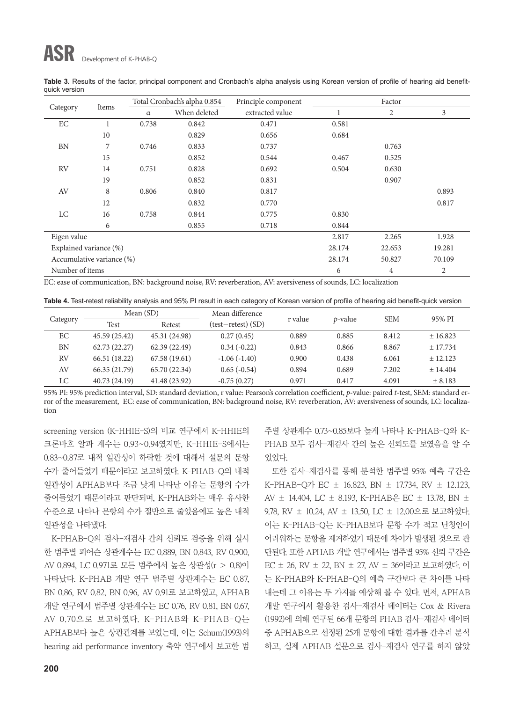## ASR Development of K-PHAB-Q

|                           | Items | Total Cronbach's alpha 0.854 |              | Principle component | Factor |                |       |  |
|---------------------------|-------|------------------------------|--------------|---------------------|--------|----------------|-------|--|
| Category                  |       | $\alpha$                     | When deleted | extracted value     |        | $\overline{2}$ | 3     |  |
| EC                        |       | 0.738                        | 0.842        | 0.471               | 0.581  |                |       |  |
|                           | 10    |                              | 0.829        | 0.656               | 0.684  |                |       |  |
| BN                        | 7     | 0.746                        | 0.833        | 0.737               |        | 0.763          |       |  |
|                           | 15    |                              | 0.852        | 0.544               | 0.467  | 0.525          |       |  |
| <b>RV</b>                 | 14    | 0.751                        | 0.828        | 0.692               | 0.504  | 0.630          |       |  |
|                           | 19    |                              | 0.852        | 0.831               |        | 0.907          |       |  |
| AV                        | 8     | 0.806                        | 0.840        | 0.817               |        |                | 0.893 |  |
|                           | 12    |                              | 0.832        | 0.770               |        |                | 0.817 |  |
| LC                        | 16    | 0.758                        | 0.844        | 0.775               | 0.830  |                |       |  |
|                           | 6     |                              | 0.855        | 0.718               | 0.844  |                |       |  |
| Eigen value               |       |                              | 2.817        | 2.265               | 1.928  |                |       |  |
| Explained variance (%)    |       |                              |              | 28.174              | 22.653 | 19.281         |       |  |
| Accumulative variance (%) |       |                              |              | 28.174              | 50.827 | 70.109         |       |  |
| Number of items           |       |                              |              |                     | 6      | $\overline{4}$ | 2     |  |

**Table 3.** Results of the factor, principal component and Cronbach's alpha analysis using Korean version of profile of hearing aid benefitquick version

EC: ease of communication, BN: background noise, RV: reverberation, AV: aversiveness of sounds, LC: localization

**Table 4.** Test-retest reliability analysis and 95% PI result in each category of Korean version of profile of hearing aid benefit-quick version

| Category | Mean $(SD)$   |               | Mean difference    |         | <i>p</i> -value | <b>SEM</b> | 95% PI   |
|----------|---------------|---------------|--------------------|---------|-----------------|------------|----------|
|          | Test          | Retest        | (test-retest) (SD) | r value |                 |            |          |
| EC       | 45.59 (25.42) | 45.31 (24.98) | 0.27(0.45)         | 0.889   | 0.885           | 8.412      | ± 16.823 |
| BN       | 62.73 (22.27) | 62.39(22.49)  | $0.34(-0.22)$      | 0.843   | 0.866           | 8.867      | ± 17.734 |
| RV       | 66.51 (18.22) | 67.58 (19.61) | $-1.06(-1.40)$     | 0.900   | 0.438           | 6.061      | ± 12.123 |
| AV       | 66.35 (21.79) | 65.70 (22.34) | $0.65(-0.54)$      | 0.894   | 0.689           | 7.202      | ± 14.404 |
| LC       | 40.73 (24.19) | 41.48 (23.92) | $-0.75(0.27)$      | 0.971   | 0.417           | 4.091      | ± 8.183  |

95% PI: 95% prediction interval, SD: standard deviation, r value: Pearson's correlation coefficient, *p*-value: paired *t*-test, SEM: standard error of the measurement, EC: ease of communication, BN: background noise, RV: reverberation, AV: aversiveness of sounds, LC: localization

screening version (K-HHIE-S)의 비교 연구에서 K-HHIE의 크론바흐 알파 계수는 0.93~0.94였지만, K-HHIE-S에서는 0.83~0.87로 내적 일관성이 하락한 것에 대해서 설문의 문항 수가 줄어들었기 때문이라고 보고하였다. K-PHAB-Q의 내적 일관성이 APHAB보다 조금 낮게 나타난 이유는 문항의 수가 줄어들었기 때문이라고 판단되며, K-PHAB와는 매우 유사한 수준으로 나타나 문항의 수가 절반으로 줄었음에도 높은 내적 일관성을 나타냈다.

K-PHAB-Q의 검사-재검사 간의 신뢰도 검증을 위해 실시 한 범주별 피어슨 상관계수는 EC 0.889, BN 0.843, RV 0.900, AV 0.894, LC 0.971로 모든 범주에서 높은 상관성(r > 0.8)이 나타났다. K-PHAB 개발 연구 범주별 상관계수는 EC 0.87, BN 0.86, RV 0.82, BN 0.96, AV 0.91로 보고하였고, APHAB 개발 연구에서 범주별 상관계수는 EC 0.76, RV 0.81, BN 0.67, AV 0.70으로 보고하였다. K-PHAB와 K-PHAB-Q는 APHAB보다 높은 상관관계를 보였는데, 이는 Schum(1993)의 hearing aid performance inventory 축약 연구에서 보고한 범 주별 상관계수 0.73~0.85보다 높게 나타나 K-PHAB-Q와 K-PHAB 모두 검사-재검사 간의 높은 신뢰도를 보였음을 알 수 있었다.

또한 검사-재검사를 통해 분석한 범주별 95% 예측 구간은 K-PHAB-Q가 EC ± 16.823, BN ± 17.734, RV ± 12.123, AV  $\pm$  14.404, LC  $\pm$  8.193, K-PHAB은 EC  $\pm$  13.78, BN  $\pm$ 9.78, RV ± 10.24, AV ± 13.50, LC ± 12.00으로 보고하였다. 이는 K-PHAB-Q는 K-PHAB보다 문항 수가 적고 난청인이 어려워하는 문항을 제거하였기 때문에 차이가 발생된 것으로 판 단된다. 또한 APHAB 개발 연구에서는 범주별 95% 신뢰 구간은 EC ± 26, RV ± 22, BN ± 27, AV ± 36이라고 보고하였다. 이 는 K-PHAB와 K-PHAB-Q의 예측 구간보다 큰 차이를 나타 내는데 그 이유는 두 가지를 예상해 볼 수 있다. 먼저, APHAB 개발 연구에서 활용한 검사-재검사 데이터는 Cox & Rivera (1992)에 의해 연구된 66개 문항의 PHAB 검사-재검사 데이터 중 APHAB으로 선정된 25개 문항에 대한 결과를 간추려 분석 하고, 실제 APHAB 설문으로 검사-재검사 연구를 하지 않았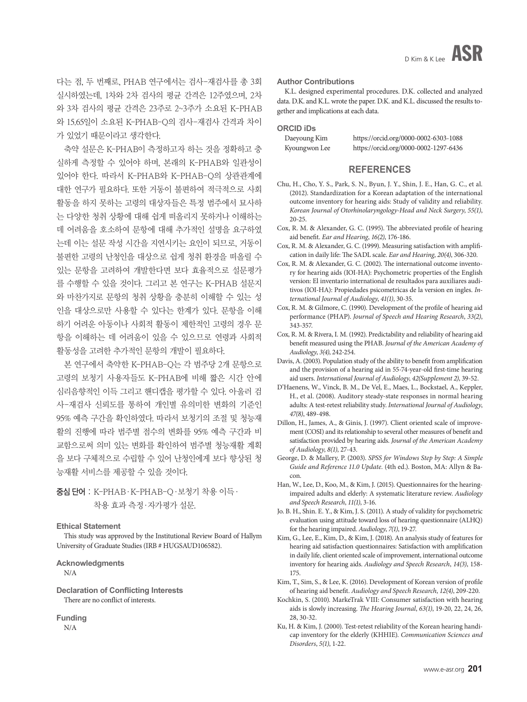다는 점, 두 번째로, PHAB 연구에서는 검사-재검사를 총 3회 실시하였는데, 1차와 2차 검사의 평균 간격은 12주였으며, 2차 와 3차 검사의 평균 간격은 23주로 2~3주가 소요된 K-PHAB 와 15.65일이 소요된 K-PHAB-Q의 검사-재검사 간격과 차이 가 있었기 때문이라고 생각한다.

축약 설문은 K-PHAB이 측정하고자 하는 것을 정확하고 충 실하게 측정할 수 있어야 하며, 본래의 K-PHAB와 일관성이 있어야 한다. 따라서 K-PHAB와 K-PHAB-Q의 상관관계에 대한 연구가 필요하다. 또한 거동이 불편하여 적극적으로 사회 활동을 하지 못하는 고령의 대상자들은 특정 범주에서 묘사하 는 다양한 청취 상황에 대해 쉽게 떠올리지 못하거나 이해하는 데 어려움을 호소하여 문항에 대해 추가적인 설명을 요구하였 는데 이는 설문 작성 시간을 지연시키는 요인이 되므로, 거동이 불편한 고령의 난청인을 대상으로 쉽게 청취 환경을 떠올릴 수 있는 문항을 고려하여 개발한다면 보다 효율적으로 설문평가 를 수행할 수 있을 것이다. 그리고 본 연구는 K-PHAB 설문지 와 마찬가지로 문항의 청취 상황을 충분히 이해할 수 있는 성 인을 대상으로만 사용할 수 있다는 한계가 있다. 문항을 이해 하기 어려운 아동이나 사회적 활동이 제한적인 고령의 경우 문 항을 이해하는 데 어려움이 있을 수 있으므로 연령과 사회적 활동성을 고려한 추가적인 문항의 개발이 필요하다.

본 연구에서 축약한 K-PHAB-Q는 각 범주당 2개 문항으로 고령의 보청기 사용자들도 K-PHAB에 비해 짧은 시간 안에 심리음향적인 이득 그리고 핸디캡을 평가할 수 있다. 아울러 검 사-재검사 신뢰도를 통하여 개인별 유의미한 변화의 기준인 95% 예측 구간을 확인하였다. 따라서 보청기의 조절 및 청능재 활의 진행에 따라 범주별 점수의 변화를 95% 예측 구간과 비 교함으로써 의미 있는 변화를 확인하여 범주별 청능재활 계획 을 보다 구체적으로 수립할 수 있어 난청인에게 보다 향상된 청 능재활 서비스를 제공할 수 있을 것이다.

중심 단어 : K-PHAB·K-PHAB-Q·보청기 착용 이득· 착용 효과 측정·자가평가 설문.

**Ethical Statement** 

This study was approved by the Institutional Review Board of Hallym University of Graduate Studies (IRB # HUGSAUD106582).

**Acknowledgments**  N/A

**Declaration of Conflicting Interests** There are no conflict of interests.

**Funding**  N/A

#### **Author Contributions**

K.L. designed experimental procedures. D.K. collected and analyzed data. D.K. and K.L. wrote the paper. D.K. and K.L. discussed the results together and implications at each data.

**ORCID iDs**

| Daeyoung Kim  | https://orcid.org/0000-0002-6303-1088 |
|---------------|---------------------------------------|
| Kyoungwon Lee | https://orcid.org/0000-0002-1297-6436 |

#### **REFERENCES**

- Chu, H., Cho, Y. S., Park, S. N., Byun, J. Y., Shin, J. E., Han, G. C., et al. (2012). Standardization for a Korean adaptation of the international outcome inventory for hearing aids: Study of validity and reliability. *Korean Journal of Otorhinolaryngology-Head and Neck Surgery*, *55(1)*, 20-25.
- Cox, R. M. & Alexander, G. C. (1995). The abbreviated profile of hearing aid benefit. *Ear and Hearing*, *16(2)*, 176-186.
- Cox, R. M. & Alexander, G. C. (1999). Measuring satisfaction with amplification in daily life: The SADL scale. *Ear and Hearing*, *20(4)*, 306-320.
- Cox, R. M. & Alexander, G. C. (2002). The international outcome inventory for hearing aids (IOI-HA): Psychometric properties of the English version: El inventario international de resultados para auxiliares auditivos (IOI-HA): Propiedades psicometricas de la version en ingles. *International Journal of Audiology*, *41(1)*, 30-35.
- Cox, R. M. & Gilmore, C. (1990). Development of the profile of hearing aid performance (PHAP). *Journal of Speech and Hearing Research*, *33(2)*, 343-357.
- Cox, R. M. & Rivera, I. M. (1992). Predictability and reliability of hearing aid benefit measured using the PHAB. *Journal of the American Academy of Audiology*, *3(4)*, 242-254.
- Davis, A. (2003). Population study of the ability to benefit from amplification and the provision of a hearing aid in 55-74-year-old first-time hearing aid users. *International Journal of Audiology*, *42(Supplement 2)*, 39-52.
- D'Haenens, W., Vinck, B. M., De Vel, E., Maes, L., Bockstael, A., Keppler, H., et al. (2008). Auditory steady-state responses in normal hearing adults: A test-retest reliability study. *International Journal of Audiology*, *47(8)*, 489-498.
- Dillon, H., James, A., & Ginis, J. (1997). Client oriented scale of improvement (COSI) and its relationship to several other measures of benefit and satisfaction provided by hearing aids. *Journal of the American Academy of Audiology*, *8(1)*, 27-43.
- George, D. & Mallery, P. (2003). *SPSS for Windows Step by Step: A Simple Guide and Reference 11.0 Update.* (4th ed.). Boston, MA: Allyn & Bacon.
- Han, W., Lee, D., Koo, M., & Kim, J. (2015). Questionnaires for the hearingimpaired adults and elderly: A systematic literature review. *Audiology and Speech Research*, *11(1)*, 3-16.
- Jo. B. H., Shin. E. Y., & Kim, J. S. (2011). A study of validity for psychometric evaluation using attitude toward loss of hearing questionnaire (ALHQ) for the hearing impaired. *Audiology*, *7(1)*, 19-27.
- Kim, G., Lee, E., Kim, D., & Kim, J. (2018). An analysis study of features for hearing aid satisfaction questionnaires: Satisfaction with amplification in daily life, client oriented scale of improvement, international outcome inventory for hearing aids. *Audiology and Speech Research*, *14(3)*, 158- 175.
- Kim, T., Sim, S., & Lee, K. (2016). Development of Korean version of profile of hearing aid benefit. *Audiology and Speech Research*, *12(4)*, 209-220.
- Kochkin, S. (2010). MarkeTrak VIII: Consumer satisfaction with hearing aids is slowly increasing. *The Hearing Journal*, *63(1)*, 19-20, 22, 24, 26, 28, 30-32.
- Ku, H. & Kim, J. (2000). Test-retest reliability of the Korean hearing handicap inventory for the elderly (KHHIE). *Communication Sciences and Disorders*, *5(1)*, 1-22.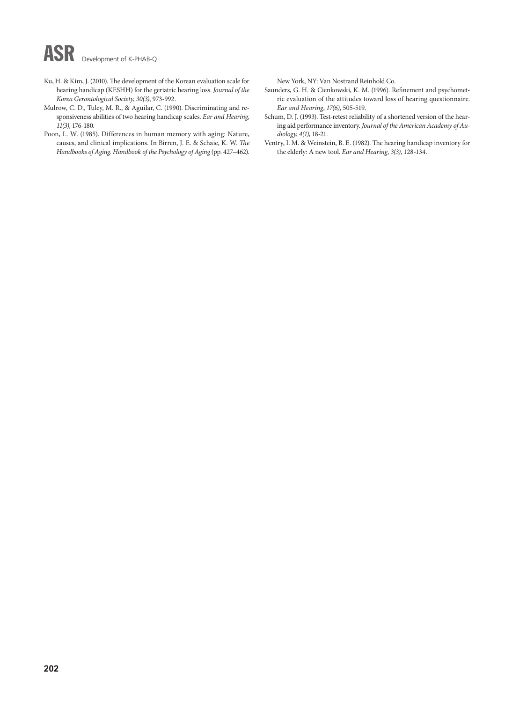# ASR Development of K-PHAB-Q

- Ku, H. & Kim, J. (2010). The development of the Korean evaluation scale for hearing handicap (KESHH) for the geriatric hearing loss. *Journal of the Korea Gerontological Society*, *30(3)*, 973-992.
- Mulrow, C. D., Tuley, M. R., & Aguilar, C. (1990). Discriminating and responsiveness abilities of two hearing handicap scales. *Ear and Hearing*, *11(3)*, 176-180.
- Poon, L. W. (1985). Differences in human memory with aging: Nature, causes, and clinical implications. In Birren, J. E. & Schaie, K. W. *The Handbooks of Aging. Handbook of the Psychology of Aging* (pp. 427–462).

New York, NY: Van Nostrand Reinhold Co.

- Saunders, G. H. & Cienkowski, K. M. (1996). Refinement and psychometric evaluation of the attitudes toward loss of hearing questionnaire. *Ear and Hearing*, *17(6)*, 505-519.
- Schum, D. J. (1993). Test-retest reliability of a shortened version of the hearing aid performance inventory. *Journal of the American Academy of Audiology*, *4(1)*, 18-21.
- Ventry, I. M. & Weinstein, B. E. (1982). The hearing handicap inventory for the elderly: A new tool. *Ear and Hearing*, *3(3)*, 128-134.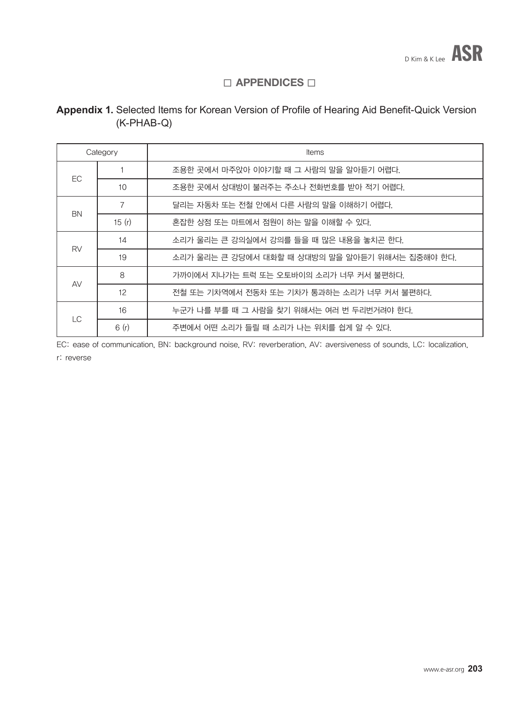## $\square$  APPENDICES  $\square$

## **Appendix 1.** Selected Items for Korean Version of Profile of Hearing Aid Benefit-Quick Version (K-PHAB-Q)

| Category  |                 | <b>Items</b>                                    |
|-----------|-----------------|-------------------------------------------------|
|           |                 | 조용한 곳에서 마주앉아 이야기할 때 그 사람의 말을 알아듣기 어렵다.          |
| <b>EC</b> | 10              | 조용한 곳에서 상대방이 불러주는 주소나 전화번호를 받아 적기 어렵다.          |
| <b>BN</b> | 7               | 달리는 자동차 또는 전철 안에서 다른 사람의 말을 이해하기 어렵다.           |
|           | 15 $(r)$        | 혼잡한 상점 또는 마트에서 점원이 하는 말을 이해할 수 있다.              |
| <b>RV</b> | 14              | 소리가 울리는 큰 강의실에서 강의를 들을 때 많은 내용을 놓치곤 한다.         |
|           | 19              | 소리가 울리는 큰 강당에서 대화할 때 상대방의 말을 알아듣기 위해서는 집중해야 한다. |
|           | 8               | 가까이에서 지나가는 트럭 또는 오토바이의 소리가 너무 커서 불편하다.          |
| AV        | 12 <sup>°</sup> | 전철 또는 기차역에서 전동차 또는 기차가 통과하는 소리가 너무 커서 불편하다.     |
| <b>LC</b> | 16              | 누군가 나를 부를 때 그 사람을 찾기 위해서는 여러 번 두리번거려야 한다.       |
|           | 6(r)            | 주변에서 어떤 소리가 들릴 때 소리가 나는 위치를 쉽게 알 수 있다.          |

EC: ease of communication, BN: background noise, RV: reverberation, AV: aversiveness of sounds, LC: localization,

r: reverse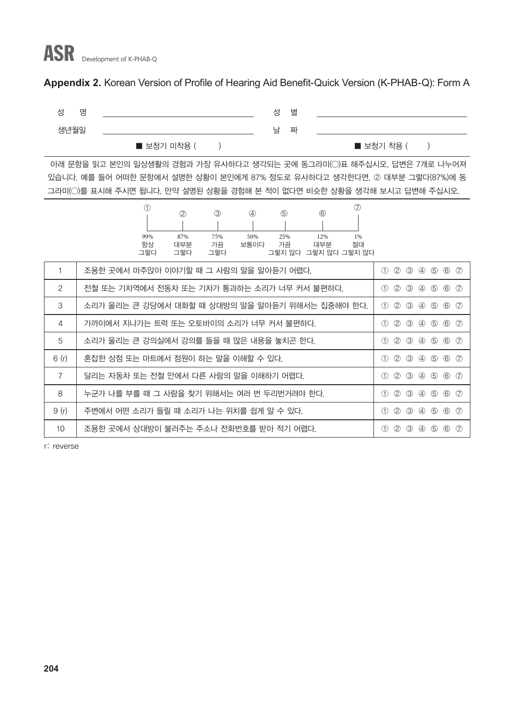### **Appendix 2.** Korean Version of Profile of Hearing Aid Benefit-Quick Version (K-PHAB-Q): Form A



 아래 문항을 읽고 본인의 일상생활의 경험과 가장 유사하다고 생각되는 곳에 동그라미(◯)표 해주십시오. 답변은 7개로 나누어져 있습니다. 예를 들어 어떠한 문항에서 설명한 상황이 본인에게 87% 정도로 유사하다고 생각한다면, ② 대부분 그렇다(87%)에 동 그라미(◯)를 표시해 주시면 됩니다. 만약 설명된 상황을 경험해 본 적이 없다면 비슷한 상황을 생각해 보시고 답변해 주십시오.

|                 | $\circled7$<br>$\bigcirc$<br>(5)<br>$\circledcirc$<br>$^{\circledR}$<br>$\circled{3}$<br>$\circled{4}$ |                                                                                                       |
|-----------------|--------------------------------------------------------------------------------------------------------|-------------------------------------------------------------------------------------------------------|
|                 |                                                                                                        |                                                                                                       |
|                 | 87%<br>50%<br>25%<br>99%<br>75%<br>12%<br>1%<br>항상<br>대부분<br>가끔<br>가끔<br>대부분<br>절대<br>보통이다             |                                                                                                       |
|                 | 그렇지 않다 그렇지 않다<br>그렇다<br>그렇다<br>그렇다<br>그렇지 않다                                                           |                                                                                                       |
|                 | 조용한 곳에서 마주앉아 이야기할 때 그 사람의 말을 알아듣기 어렵다.                                                                 | (2)<br>$\circled{3}$<br>$\circled{4}$<br>$\circledS$<br>$\circledcirc$<br>$\bigcirc$<br>$\circled7$   |
| 2               | 전철 또는 기차역에서 전동차 또는 기차가 통과하는 소리가 너무 커서 불편하다.                                                            | $\circled{3}$<br>$\circledS$<br>(2)<br>④<br>$\circled{6}$<br>$\circled7$<br>(1)                       |
| 3               | 소리가 울리는 큰 강당에서 대화할 때 상대방의 말을 알아듣기 위해서는 집중해야 한다.                                                        | $\circled{3}$<br>$\circled{1}$<br>(2)<br>$\circled{4}$<br>$\circledS$<br>$\circled{6}$<br>$\circled7$ |
| 4               | 가까이에서 지나가는 트럭 또는 오토바이의 소리가 너무 커서 불편하다.                                                                 | (2)<br>$\circled{3}$<br>67<br>4<br>$\circledS$<br>$\bigcirc$                                          |
| 5               | 소리가 울리는 큰 강의실에서 강의를 들을 때 많은 내용을 놓치곤 한다.                                                                | (2)<br>$\circled{3}$<br>$\circledS$<br>$\circled{6}$<br>4<br>$\circled7$<br>(1)                       |
| 6(r)            | 혼잡한 상점 또는 마트에서 점원이 하는 말을 이해할 수 있다.                                                                     | $\circled{6}$<br>(2)<br>$\circled{3}$<br>(5)<br>$\circled7$<br>$\circled{4}$<br>(1)                   |
| $\overline{7}$  | 달리는 자동차 또는 전철 안에서 다른 사람의 말을 이해하기 어렵다.                                                                  | $\circled{3}$<br>$\circledS$<br>(2)<br>④<br>67<br>(1)                                                 |
| 8               | 누군가 나를 부를 때 그 사람을 찾기 위해서는 여러 번 두리번거려야 한다.                                                              | (2)<br>$\circled{3}$<br>$\circledS$<br>$\circled6$<br>$\circled{7}$<br>$\circled{4}$<br>(1)           |
| 9(r)            | 주변에서 어떤 소리가 들릴 때 소리가 나는 위치를 쉽게 알 수 있다.                                                                 | $\circled{3}$<br>(2)<br>$\circled{4}$<br>$\circledS$<br>$\circled{6}$<br>$\circled7$<br>(1)           |
| 10 <sup>°</sup> | 조용한 곳에서 상대방이 불러주는 주소나 전화번호를 받아 적기 어렵다.                                                                 | $\circled{3}$<br>(2)<br>$\circledS$<br>$\circled{6}$<br>$\left( 7\right)$<br>$\circled{4}$<br>(1)     |

r: reverse